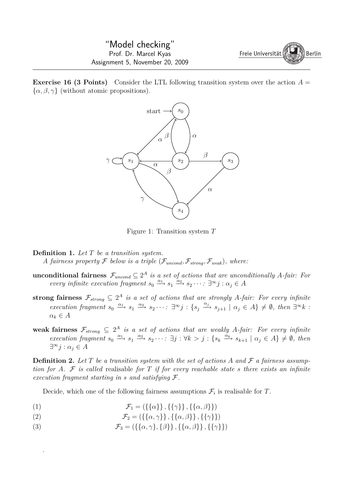**Exercise 16 (3 Points)** Consider the LTL following transition system over the action *A* =  $\{\alpha, \beta, \gamma\}$  (without atomic propositions).



Figure 1: Transition system *T*

**Definition 1.** *Let T be a transition system. A fairness property*  $\mathcal{F}$  *below is a triple* ( $\mathcal{F}_{uncond}$ ,  $\mathcal{F}_{strong}$ ,  $\mathcal{F}_{weak}$ ), where:

- $u$ **nconditional fairness**  $\mathcal{F}_{uncond} \subseteq 2^A$  *is a set of actions that are unconditionally A-fair: For every infinite execution fragment*  $s_0 \xrightarrow{\alpha_1} s_1 \xrightarrow{\alpha_2} s_2 \cdots$ :  $\exists^{\infty} j : \alpha_j \in A$
- **strong fairness**  $\mathcal{F}_{strong} \subseteq 2^A$  *is a set of actions that are strongly A-fair: For every infinite* execution fragment  $s_0 \xrightarrow{\alpha_1} s_1 \xrightarrow{\alpha_2} s_2 \cdots \exists^{\infty} j : \{s_j \xrightarrow{\alpha_j} s_{j+1} \mid \alpha_j \in A\} \neq \emptyset$ , then  $\exists^{\infty} k$ :  $\alpha_k \in A$
- $\mathbf{weak}$  **fairness**  $\mathcal{F}_{strong} \subseteq 2^A$  *is a set of actions that are weakly A-fair: For every infinite* execution fragment  $s_0 \xrightarrow{\alpha_1} s_1 \xrightarrow{\alpha_2} s_2 \cdots \exists j : \forall k > j : \{s_k \xrightarrow{\alpha_k} s_{k+1} \mid \alpha_j \in A\} \neq \emptyset$ , then *∃ <sup>∞</sup>j* : *α<sup>j</sup> ∈ A*

**Definition 2.** Let  $T$  be a transition system with the set of actions  $A$  and  $F$  a fairness assump*tion for A. F is called* realisable *for T if for every reachable state s there exists an infinite execution fragment starting in s and satisfying F.*

Decide, which one of the following fairness assumptions  $\mathcal{F}_i$  is realisable for *T*.

- (1)  $\mathcal{F}_1 = (\{\{\alpha\}\}, \{\{\gamma\}\}, \{\{\alpha, \beta\}\})$
- (2)  $\mathcal{F}_2 = (\{\{\alpha, \gamma\}\}, \{\{\alpha, \beta\}\}, \{\{\gamma\}\})$

.

(3)  $\mathcal{F}_3 = (\{\{\alpha, \gamma\}, \{\beta\}\}, \{\{\alpha, \beta\}\}, \{\{\gamma\}\})$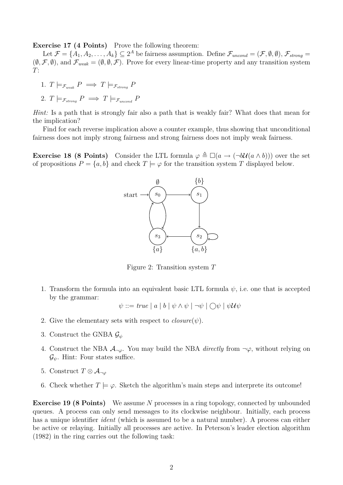**Exercise 17 (4 Points)** Prove the following theorem:

Let  $\mathcal{F} = \{A_1, A_2, \ldots, A_k\} \subseteq 2^A$  be fairness assumption. Define  $\mathcal{F}_{uncond} = (\mathcal{F}, \emptyset, \emptyset), \mathcal{F}_{strong} =$  $(\emptyset, \mathcal{F}, \emptyset)$ , and  $\mathcal{F}_{weak} = (\emptyset, \emptyset, \mathcal{F})$ . Prove for every linear-time property and any transition system *T*:

1. 
$$
T \models_{\mathcal{F}_{weak}} P \implies T \models_{\mathcal{F}_{strong}} P
$$
  
2.  $T \models_{\mathcal{F}_{strong}} P \implies T \models_{\mathcal{F}_{uncond}} P$ 

*Hint:* Is a path that is strongly fair also a path that is weakly fair? What does that mean for the implication?

Find for each reverse implication above a counter example, thus showing that unconditional fairness does not imply strong fairness and strong fairness does not imply weak fairness.

**Exercise 18 (8 Points)** Consider the LTL formula  $\varphi \triangleq \Box(a \rightarrow (\neg b\mathcal{U}(a \land b)))$  over the set of propositions  $P = \{a, b\}$  and check  $T \models \varphi$  for the transition system *T* displayed below.



Figure 2: Transition system *T*

1. Transform the formula into an equivalent basic LTL formula *ψ*, i.e. one that is accepted by the grammar:

 $\psi ::= true \mid a \mid b \mid \psi \wedge \psi \mid \neg \psi \mid \bigcirc \psi \mid \psi \mathcal{U} \psi$ 

- 2. Give the elementary sets with respect to  $closure(\psi)$ .
- 3. Construct the GNBA *G<sup>ψ</sup>*
- 4. Construct the NBA  $\mathcal{A}_{\neg\varphi}$ . You may build the NBA *directly* from  $\neg\varphi$ , without relying on  $\mathcal{G}_{\psi}$ . Hint: Four states suffice.
- 5. Construct  $T \otimes A_{\neg\varphi}$
- 6. Check whether  $T \models \varphi$ . Sketch the algorithm's main steps and interprete its outcome!

**Exercise 19 (8 Points)** We assume *N* processes in a ring topology, connected by unbounded queues. A process can only send messages to its clockwise neighbour. Initially, each process has a unique identifier *ident* (which is assumed to be a natural number). A process can either be active or relaying. Initially all processes are active. In Peterson's leader election algorithm (1982) in the ring carries out the following task: